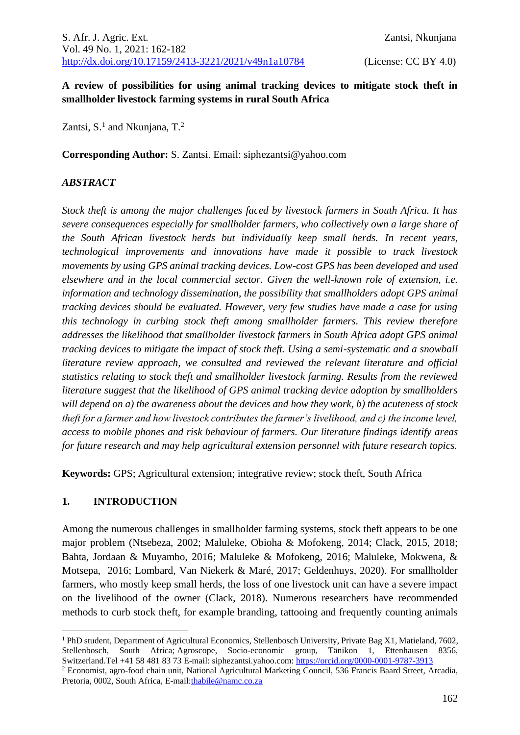### **A review of possibilities for using animal tracking devices to mitigate stock theft in smallholder livestock farming systems in rural South Africa**

Zantsi, S.<sup>1</sup> and Nkunjana, T.<sup>2</sup>

**Corresponding Author:** S. Zantsi. Email: siphezantsi@yahoo.com

#### *ABSTRACT*

*Stock theft is among the major challenges faced by livestock farmers in South Africa. It has severe consequences especially for smallholder farmers, who collectively own a large share of the South African livestock herds but individually keep small herds. In recent years, technological improvements and innovations have made it possible to track livestock movements by using GPS animal tracking devices. Low-cost GPS has been developed and used elsewhere and in the local commercial sector. Given the well-known role of extension, i.e. information and technology dissemination, the possibility that smallholders adopt GPS animal tracking devices should be evaluated. However, very few studies have made a case for using this technology in curbing stock theft among smallholder farmers. This review therefore addresses the likelihood that smallholder livestock farmers in South Africa adopt GPS animal tracking devices to mitigate the impact of stock theft. Using a semi-systematic and a snowball literature review approach, we consulted and reviewed the relevant literature and official statistics relating to stock theft and smallholder livestock farming. Results from the reviewed literature suggest that the likelihood of GPS animal tracking device adoption by smallholders will depend on a) the awareness about the devices and how they work, b) the acuteness of stock theft for a farmer and how livestock contributes the farmer's livelihood, and c) the income level, access to mobile phones and risk behaviour of farmers. Our literature findings identify areas for future research and may help agricultural extension personnel with future research topics.*

**Keywords:** GPS; Agricultural extension; integrative review; stock theft, South Africa

#### **1. INTRODUCTION**

Among the numerous challenges in smallholder farming systems, stock theft appears to be one major problem (Ntsebeza, 2002; Maluleke, Obioha & Mofokeng, 2014; Clack, 2015, 2018; Bahta, Jordaan & Muyambo, 2016; Maluleke & Mofokeng, 2016; Maluleke, Mokwena, & Motsepa, 2016; Lombard, Van Niekerk & Maré, 2017; Geldenhuys, 2020). For smallholder farmers, who mostly keep small herds, the loss of one livestock unit can have a severe impact on the livelihood of the owner (Clack, 2018). Numerous researchers have recommended methods to curb stock theft, for example branding, tattooing and frequently counting animals

<sup>&</sup>lt;sup>1</sup> PhD student, Department of Agricultural Economics, Stellenbosch University, Private Bag X1, Matieland, 7602, Stellenbosch, South Africa; Agroscope, Socio-economic group, Tänikon 1, Ettenhausen 8356, Switzerland.Tel +41 58 481 83 73 E-mail: siphezantsi.yahoo.com: [https://orcid.org/0000-0001-9787-3913](https://urldefense.com/v3/__https:/orcid.org/0000-0001-9787-3913__;!!LRJdiIM!Shv2szyiE7vLfmJNbeLrYJ7MxHG2_UzdmDXPc4uRBscCR07XOgyQ6Q1WbAUfZIzamV2b$)

<sup>2</sup> Economist, agro-food chain unit, National Agricultural Marketing Council, 536 Francis Baard Street, Arcadia, Pretoria, 0002, South Africa, E-mail[:thabile@namc.co.za](mailto:thabile@namc.co.za)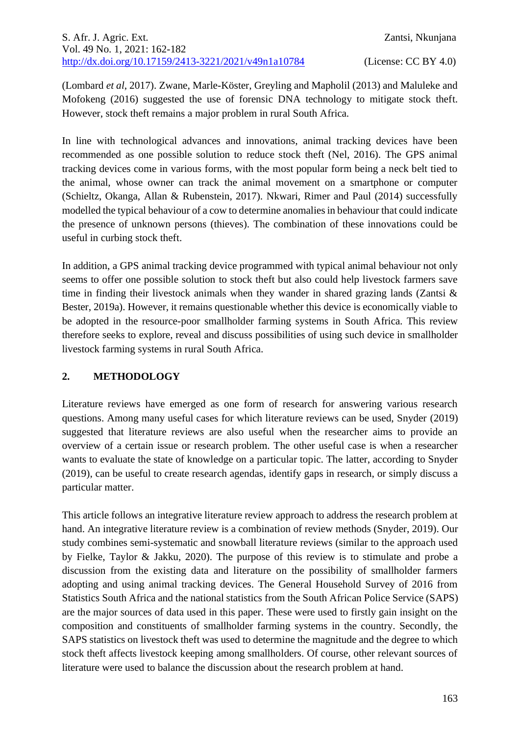(Lombard *et al*, 2017). Zwane, Marle-Köster, Greyling and Mapholil (2013) and Maluleke and Mofokeng (2016) suggested the use of forensic DNA technology to mitigate stock theft. However, stock theft remains a major problem in rural South Africa.

In line with technological advances and innovations, animal tracking devices have been recommended as one possible solution to reduce stock theft (Nel, 2016). The GPS animal tracking devices come in various forms, with the most popular form being a neck belt tied to the animal, whose owner can track the animal movement on a smartphone or computer (Schieltz, Okanga, Allan & Rubenstein, 2017). Nkwari, Rimer and Paul (2014) successfully modelled the typical behaviour of a cow to determine anomalies in behaviour that could indicate the presence of unknown persons (thieves). The combination of these innovations could be useful in curbing stock theft.

In addition, a GPS animal tracking device programmed with typical animal behaviour not only seems to offer one possible solution to stock theft but also could help livestock farmers save time in finding their livestock animals when they wander in shared grazing lands (Zantsi & Bester, 2019a). However, it remains questionable whether this device is economically viable to be adopted in the resource-poor smallholder farming systems in South Africa. This review therefore seeks to explore, reveal and discuss possibilities of using such device in smallholder livestock farming systems in rural South Africa.

## **2. METHODOLOGY**

Literature reviews have emerged as one form of research for answering various research questions. Among many useful cases for which literature reviews can be used, Snyder (2019) suggested that literature reviews are also useful when the researcher aims to provide an overview of a certain issue or research problem. The other useful case is when a researcher wants to evaluate the state of knowledge on a particular topic. The latter, according to Snyder (2019), can be useful to create research agendas, identify gaps in research, or simply discuss a particular matter.

This article follows an integrative literature review approach to address the research problem at hand. An integrative literature review is a combination of review methods (Snyder, 2019). Our study combines semi-systematic and snowball literature reviews (similar to the approach used by Fielke, Taylor & Jakku, 2020). The purpose of this review is to stimulate and probe a discussion from the existing data and literature on the possibility of smallholder farmers adopting and using animal tracking devices. The General Household Survey of 2016 from Statistics South Africa and the national statistics from the South African Police Service (SAPS) are the major sources of data used in this paper. These were used to firstly gain insight on the composition and constituents of smallholder farming systems in the country. Secondly, the SAPS statistics on livestock theft was used to determine the magnitude and the degree to which stock theft affects livestock keeping among smallholders. Of course, other relevant sources of literature were used to balance the discussion about the research problem at hand.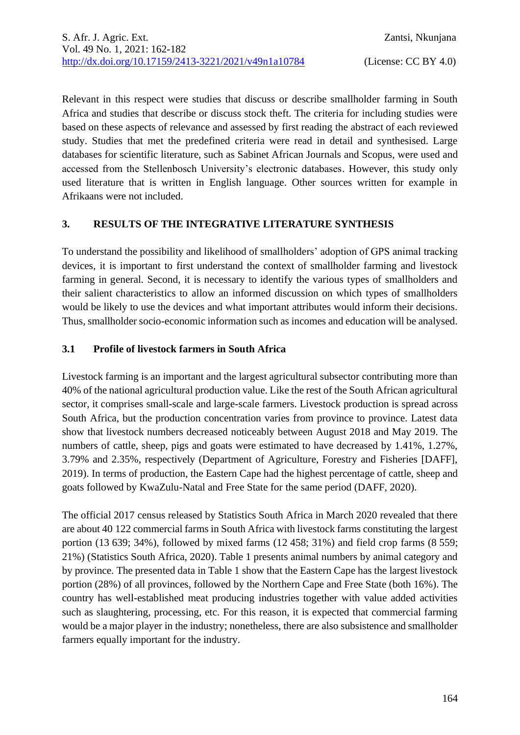Relevant in this respect were studies that discuss or describe smallholder farming in South Africa and studies that describe or discuss stock theft. The criteria for including studies were based on these aspects of relevance and assessed by first reading the abstract of each reviewed study. Studies that met the predefined criteria were read in detail and synthesised. Large databases for scientific literature, such as Sabinet African Journals and Scopus, were used and accessed from the Stellenbosch University's electronic databases. However, this study only used literature that is written in English language. Other sources written for example in Afrikaans were not included.

## **3. RESULTS OF THE INTEGRATIVE LITERATURE SYNTHESIS**

To understand the possibility and likelihood of smallholders' adoption of GPS animal tracking devices, it is important to first understand the context of smallholder farming and livestock farming in general. Second, it is necessary to identify the various types of smallholders and their salient characteristics to allow an informed discussion on which types of smallholders would be likely to use the devices and what important attributes would inform their decisions. Thus, smallholder socio-economic information such as incomes and education will be analysed.

## **3.1 Profile of livestock farmers in South Africa**

Livestock farming is an important and the largest agricultural subsector contributing more than 40% of the national agricultural production value. Like the rest of the South African agricultural sector, it comprises small-scale and large-scale farmers. Livestock production is spread across South Africa, but the production concentration varies from province to province. Latest data show that livestock numbers decreased noticeably between August 2018 and May 2019. The numbers of cattle, sheep, pigs and goats were estimated to have decreased by 1.41%, 1.27%, 3.79% and 2.35%, respectively (Department of Agriculture, Forestry and Fisheries [DAFF], 2019). In terms of production, the Eastern Cape had the highest percentage of cattle, sheep and goats followed by KwaZulu-Natal and Free State for the same period (DAFF, 2020).

The official 2017 census released by Statistics South Africa in March 2020 revealed that there are about 40 122 commercial farms in South Africa with livestock farms constituting the largest portion (13 639; 34%), followed by mixed farms (12 458; 31%) and field crop farms (8 559; 21%) (Statistics South Africa, 2020). Table 1 presents animal numbers by animal category and by province. The presented data in Table 1 show that the Eastern Cape has the largest livestock portion (28%) of all provinces, followed by the Northern Cape and Free State (both 16%). The country has well-established meat producing industries together with value added activities such as slaughtering, processing, etc. For this reason, it is expected that commercial farming would be a major player in the industry; nonetheless, there are also subsistence and smallholder farmers equally important for the industry.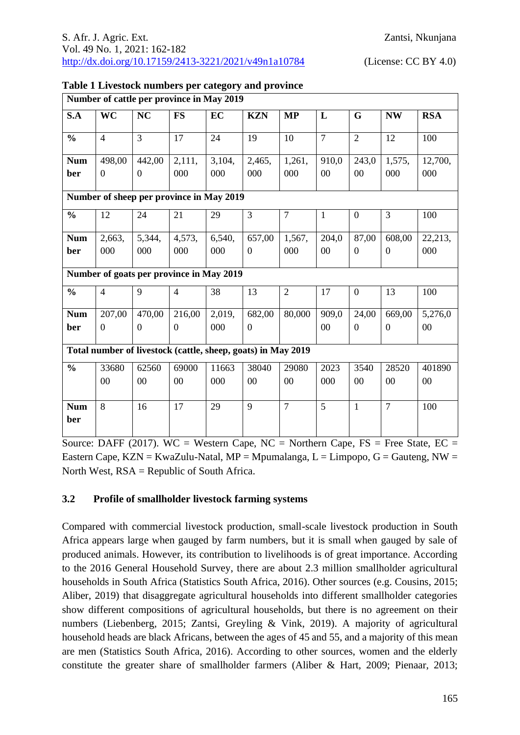| Number of cattle per province in May 2019                    |                |                |                |        |                |                |                |                |                |            |
|--------------------------------------------------------------|----------------|----------------|----------------|--------|----------------|----------------|----------------|----------------|----------------|------------|
| S.A                                                          | <b>WC</b>      | <b>NC</b>      | <b>FS</b>      | EC     | <b>KZN</b>     | <b>MP</b>      | L              | G              | <b>NW</b>      | <b>RSA</b> |
| $\frac{0}{0}$                                                | $\overline{4}$ | $\overline{3}$ | 17             | 24     | 19             | 10             | $\overline{7}$ | $\overline{2}$ | 12             | 100        |
| <b>Num</b>                                                   | 498,00         | 442,00         | 2,111,         | 3,104, | 2,465,         | 1,261,         | 910,0          | 243,0          | 1,575,         | 12,700,    |
| ber                                                          | $\mathbf{0}$   | $\overline{0}$ | 000            | 000    | 000            | 000            | 00             | 00             | 000            | 000        |
| Number of sheep per province in May 2019                     |                |                |                |        |                |                |                |                |                |            |
| $\frac{0}{0}$                                                | 12             | 24             | 21             | 29     | 3              | $\overline{7}$ | $\mathbf{1}$   | $\overline{0}$ | 3              | 100        |
| <b>Num</b>                                                   | 2,663,         | 5,344,         | 4,573,         | 6,540, | 657,00         | 1,567,         | 204,0          | 87,00          | 608,00         | 22,213,    |
| ber                                                          | 000            | 000            | 000            | 000    | $\overline{0}$ | 000            | $00\,$         | $\theta$       | $\overline{0}$ | 000        |
| Number of goats per province in May 2019                     |                |                |                |        |                |                |                |                |                |            |
| $\frac{0}{0}$                                                | $\overline{4}$ | 9              | $\overline{4}$ | 38     | 13             | $\overline{2}$ | 17             | $\overline{0}$ | 13             | 100        |
| <b>Num</b>                                                   | 207,00         | 470,00         | 216,00         | 2,019, | 682,00         | 80,000         | 909,0          | 24,00          | 669,00         | 5,276,0    |
| ber                                                          | $\mathbf{0}$   | $\overline{0}$ | $\theta$       | 000    | $\overline{0}$ |                | 00             | $\theta$       | $\overline{0}$ | 00         |
| Total number of livestock (cattle, sheep, goats) in May 2019 |                |                |                |        |                |                |                |                |                |            |
| $\frac{0}{0}$                                                | 33680          | 62560          | 69000          | 11663  | 38040          | 29080          | 2023           | 3540           | 28520          | 401890     |
|                                                              | 00             | 0 <sub>0</sub> | 00             | 000    | 00             | 00             | 000            | 00             | 00             | 00         |
| <b>Num</b>                                                   | 8              | 16             | 17             | 29     | 9              | $\overline{7}$ | 5              | $\mathbf{1}$   | $\overline{7}$ | 100        |
| ber                                                          |                |                |                |        |                |                |                |                |                |            |

| Table 1 Livestock numbers per category and province |  |  |  |
|-----------------------------------------------------|--|--|--|
|                                                     |  |  |  |

Source: DAFF (2017). WC = Western Cape, NC = Northern Cape, FS = Free State, EC = Eastern Cape, KZN = KwaZulu-Natal, MP = Mpumalanga, L = Limpopo, G = Gauteng, NW = North West, RSA = Republic of South Africa.

#### **3.2 Profile of smallholder livestock farming systems**

Compared with commercial livestock production, small-scale livestock production in South Africa appears large when gauged by farm numbers, but it is small when gauged by sale of produced animals. However, its contribution to livelihoods is of great importance. According to the 2016 General Household Survey, there are about 2.3 million smallholder agricultural households in South Africa (Statistics South Africa, 2016). Other sources (e.g. Cousins, 2015; Aliber, 2019) that disaggregate agricultural households into different smallholder categories show different compositions of agricultural households, but there is no agreement on their numbers (Liebenberg, 2015; Zantsi, Greyling & Vink, 2019). A majority of agricultural household heads are black Africans, between the ages of 45 and 55, and a majority of this mean are men (Statistics South Africa, 2016). According to other sources, women and the elderly constitute the greater share of smallholder farmers (Aliber & Hart, 2009; Pienaar, 2013;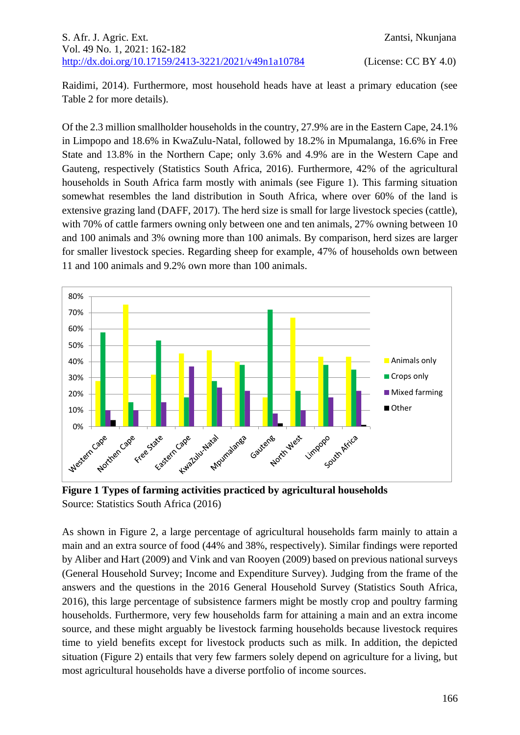Raidimi, 2014). Furthermore, most household heads have at least a primary education (see Table 2 for more details).

Of the 2.3 million smallholder households in the country, 27.9% are in the Eastern Cape, 24.1% in Limpopo and 18.6% in KwaZulu-Natal, followed by 18.2% in Mpumalanga, 16.6% in Free State and 13.8% in the Northern Cape; only 3.6% and 4.9% are in the Western Cape and Gauteng, respectively (Statistics South Africa, 2016). Furthermore, 42% of the agricultural households in South Africa farm mostly with animals (see Figure 1). This farming situation somewhat resembles the land distribution in South Africa, where over 60% of the land is extensive grazing land (DAFF, 2017). The herd size is small for large livestock species (cattle), with 70% of cattle farmers owning only between one and ten animals, 27% owning between 10 and 100 animals and 3% owning more than 100 animals. By comparison, herd sizes are larger for smaller livestock species. Regarding sheep for example, 47% of households own between 11 and 100 animals and 9.2% own more than 100 animals.



**Figure 1 Types of farming activities practiced by agricultural households** Source: Statistics South Africa (2016)

As shown in Figure 2, a large percentage of agricultural households farm mainly to attain a main and an extra source of food (44% and 38%, respectively). Similar findings were reported by Aliber and Hart (2009) and Vink and van Rooyen (2009) based on previous national surveys (General Household Survey; Income and Expenditure Survey). Judging from the frame of the answers and the questions in the 2016 General Household Survey (Statistics South Africa, 2016), this large percentage of subsistence farmers might be mostly crop and poultry farming households. Furthermore, very few households farm for attaining a main and an extra income source, and these might arguably be livestock farming households because livestock requires time to yield benefits except for livestock products such as milk. In addition, the depicted situation (Figure 2) entails that very few farmers solely depend on agriculture for a living, but most agricultural households have a diverse portfolio of income sources.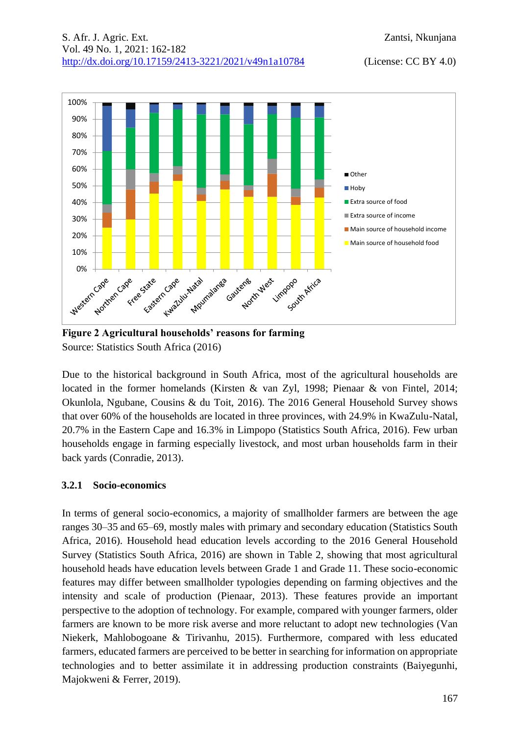

**Figure 2 Agricultural households' reasons for farming** Source: Statistics South Africa (2016)

Due to the historical background in South Africa, most of the agricultural households are located in the former homelands (Kirsten & van Zyl, 1998; Pienaar & von Fintel, 2014; Okunlola, Ngubane, Cousins & du Toit, 2016). The 2016 General Household Survey shows that over 60% of the households are located in three provinces, with 24.9% in KwaZulu-Natal, 20.7% in the Eastern Cape and 16.3% in Limpopo (Statistics South Africa, 2016). Few urban households engage in farming especially livestock, and most urban households farm in their back yards (Conradie, 2013).

#### **3.2.1 Socio-economics**

In terms of general socio-economics, a majority of smallholder farmers are between the age ranges 30–35 and 65–69, mostly males with primary and secondary education (Statistics South Africa, 2016). Household head education levels according to the 2016 General Household Survey (Statistics South Africa, 2016) are shown in Table 2, showing that most agricultural household heads have education levels between Grade 1 and Grade 11. These socio-economic features may differ between smallholder typologies depending on farming objectives and the intensity and scale of production (Pienaar, 2013). These features provide an important perspective to the adoption of technology. For example, compared with younger farmers, older farmers are known to be more risk averse and more reluctant to adopt new technologies (Van Niekerk, Mahlobogoane & Tirivanhu, 2015). Furthermore, compared with less educated farmers, educated farmers are perceived to be better in searching for information on appropriate technologies and to better assimilate it in addressing production constraints (Baiyegunhi, Majokweni & Ferrer, 2019).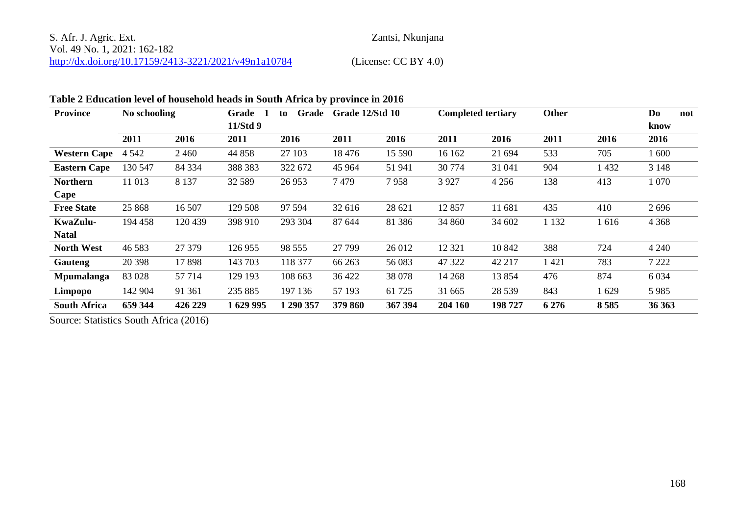## S. Afr. J. Agric. Ext. Zantsi, Nkunjana Vol. 49 No. 1, 2021: 162-182 <http://dx.doi.org/10.17159/2413-3221/2021/v49n1a10784> (License: CC BY 4.0)

## **Table 2 Education level of household heads in South Africa by province in 2016**

| <b>Province</b>     | No schooling |         | Grade<br>Grade<br>to |           | Grade 12/Std 10 |         | <b>Completed tertiary</b> |         | <b>Other</b> |         | Do<br>not |
|---------------------|--------------|---------|----------------------|-----------|-----------------|---------|---------------------------|---------|--------------|---------|-----------|
|                     |              |         | 11/Std 9             |           |                 |         |                           |         |              |         | know      |
|                     | 2011         | 2016    | 2011                 | 2016      | 2011            | 2016    | 2011                      | 2016    | 2011         | 2016    | 2016      |
| <b>Western Cape</b> | 4 5 4 2      | 2 4 6 0 | 44 858               | 27 103    | 18476           | 15 590  | 16 162                    | 21 694  | 533          | 705     | 1 600     |
| <b>Eastern Cape</b> | 130 547      | 84 334  | 388 383              | 322 672   | 45 9 64         | 51 941  | 30 774                    | 31 041  | 904          | 1 4 3 2 | 3 1 4 8   |
| <b>Northern</b>     | 11 013       | 8 1 3 7 | 32 5 89              | 26 953    | 7479            | 7958    | 3 9 2 7                   | 4 2 5 6 | 138          | 413     | 1 0 7 0   |
| Cape                |              |         |                      |           |                 |         |                           |         |              |         |           |
| <b>Free State</b>   | 25 868       | 16 507  | 129 508              | 97 594    | 32 616          | 28 621  | 12857                     | 11 681  | 435          | 410     | 2696      |
| KwaZulu-            | 194 458      | 120 439 | 398 910              | 293 304   | 87 644          | 81 38 6 | 34 860                    | 34 602  | 1 1 3 2      | 1616    | 4 3 6 8   |
| Natal               |              |         |                      |           |                 |         |                           |         |              |         |           |
| <b>North West</b>   | 46 5 83      | 27 379  | 126 955              | 98 555    | 27 799          | 26 012  | 12 3 21                   | 10 842  | 388          | 724     | 4 2 4 0   |
| Gauteng             | 20 398       | 17898   | 143 703              | 118 377   | 66 263          | 56 083  | 47 322                    | 42 217  | 1421         | 783     | 7 2 2 2   |
| <b>Mpumalanga</b>   | 83 028       | 57 714  | 129 193              | 108 663   | 36 422          | 38 078  | 14 2 68                   | 13854   | 476          | 874     | 6 0 3 4   |
| Limpopo             | 142 904      | 91 361  | 235 885              | 197 136   | 57 193          | 61 725  | 31 665                    | 28 5 39 | 843          | 1629    | 5 9 8 5   |
| <b>South Africa</b> | 659 344      | 426 229 | 1629995              | 1 290 357 | 379 860         | 367 394 | 204 160                   | 198 727 | 6 2 7 6      | 8585    | 36 36 3   |

Source: Statistics South Africa (2016)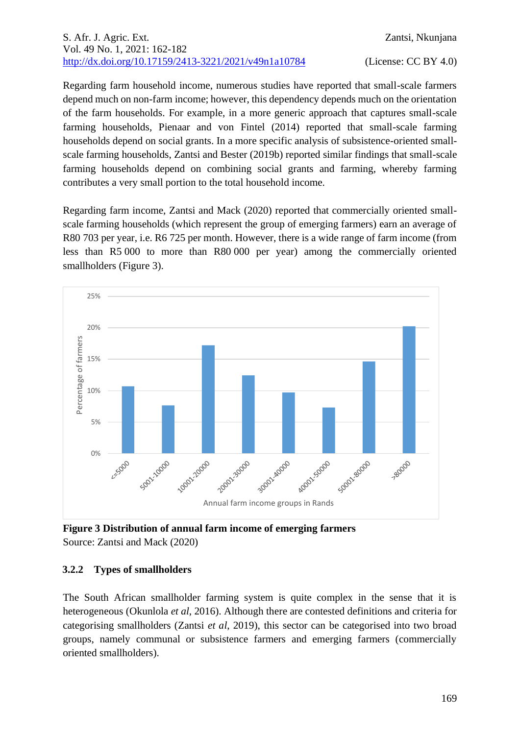### S. Afr. J. Agric. Ext. Zantsi, Nkunjana Vol. 49 No. 1, 2021: 162-182 <http://dx.doi.org/10.17159/2413-3221/2021/v49n1a10784> (License: CC BY 4.0)

Regarding farm household income, numerous studies have reported that small-scale farmers depend much on non-farm income; however, this dependency depends much on the orientation of the farm households. For example, in a more generic approach that captures small-scale farming households, Pienaar and von Fintel (2014) reported that small-scale farming households depend on social grants. In a more specific analysis of subsistence-oriented smallscale farming households, Zantsi and Bester (2019b) reported similar findings that small-scale farming households depend on combining social grants and farming, whereby farming contributes a very small portion to the total household income.

Regarding farm income, Zantsi and Mack (2020) reported that commercially oriented smallscale farming households (which represent the group of emerging farmers) earn an average of R80 703 per year, i.e. R6 725 per month. However, there is a wide range of farm income (from less than R5 000 to more than R80 000 per year) among the commercially oriented smallholders (Figure 3).



**Figure 3 Distribution of annual farm income of emerging farmers** Source: Zantsi and Mack (2020)

#### **3.2.2 Types of smallholders**

The South African smallholder farming system is quite complex in the sense that it is heterogeneous (Okunlola *et al*, 2016). Although there are contested definitions and criteria for categorising smallholders (Zantsi *et al*, 2019), this sector can be categorised into two broad groups, namely communal or subsistence farmers and emerging farmers (commercially oriented smallholders).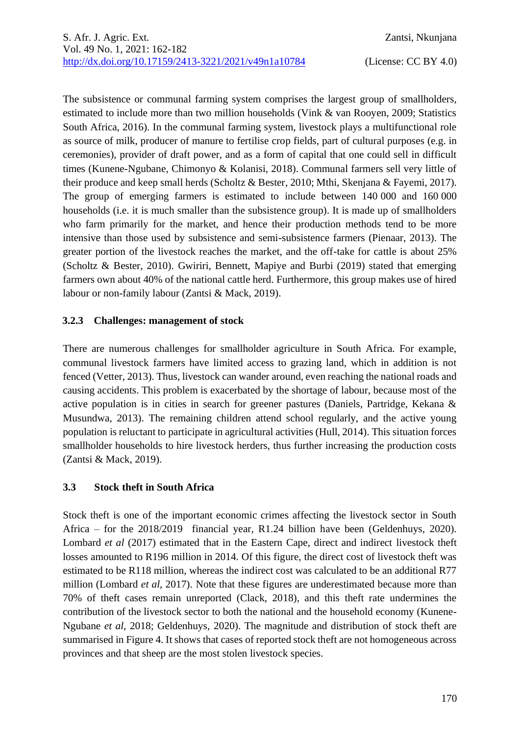The subsistence or communal farming system comprises the largest group of smallholders, estimated to include more than two million households (Vink & van Rooyen, 2009; Statistics South Africa, 2016). In the communal farming system, livestock plays a multifunctional role as source of milk, producer of manure to fertilise crop fields, part of cultural purposes (e.g. in ceremonies), provider of draft power, and as a form of capital that one could sell in difficult times (Kunene-Ngubane, Chimonyo & Kolanisi, 2018). Communal farmers sell very little of their produce and keep small herds (Scholtz & Bester, 2010; Mthi, Skenjana & Fayemi, 2017). The group of emerging farmers is estimated to include between 140 000 and 160 000 households (i.e. it is much smaller than the subsistence group). It is made up of smallholders who farm primarily for the market, and hence their production methods tend to be more intensive than those used by subsistence and semi-subsistence farmers (Pienaar, 2013). The greater portion of the livestock reaches the market, and the off-take for cattle is about 25% (Scholtz & Bester, 2010). Gwiriri, Bennett, Mapiye and Burbi (2019) stated that emerging farmers own about 40% of the national cattle herd. Furthermore, this group makes use of hired labour or non-family labour (Zantsi & Mack, 2019).

## **3.2.3 Challenges: management of stock**

There are numerous challenges for smallholder agriculture in South Africa. For example, communal livestock farmers have limited access to grazing land, which in addition is not fenced (Vetter, 2013). Thus, livestock can wander around, even reaching the national roads and causing accidents. This problem is exacerbated by the shortage of labour, because most of the active population is in cities in search for greener pastures (Daniels, Partridge, Kekana & Musundwa, 2013). The remaining children attend school regularly, and the active young population is reluctant to participate in agricultural activities (Hull, 2014). This situation forces smallholder households to hire livestock herders, thus further increasing the production costs (Zantsi & Mack, 2019).

## **3.3 Stock theft in South Africa**

Stock theft is one of the important economic crimes affecting the livestock sector in South Africa – for the 2018/2019 financial year, R1.24 billion have been (Geldenhuys, 2020). Lombard *et al* (2017) estimated that in the Eastern Cape, direct and indirect livestock theft losses amounted to R196 million in 2014. Of this figure, the direct cost of livestock theft was estimated to be R118 million, whereas the indirect cost was calculated to be an additional R77 million (Lombard *et al*, 2017). Note that these figures are underestimated because more than 70% of theft cases remain unreported (Clack, 2018), and this theft rate undermines the contribution of the livestock sector to both the national and the household economy (Kunene-Ngubane *et al*, 2018; Geldenhuys, 2020). The magnitude and distribution of stock theft are summarised in Figure 4. It shows that cases of reported stock theft are not homogeneous across provinces and that sheep are the most stolen livestock species.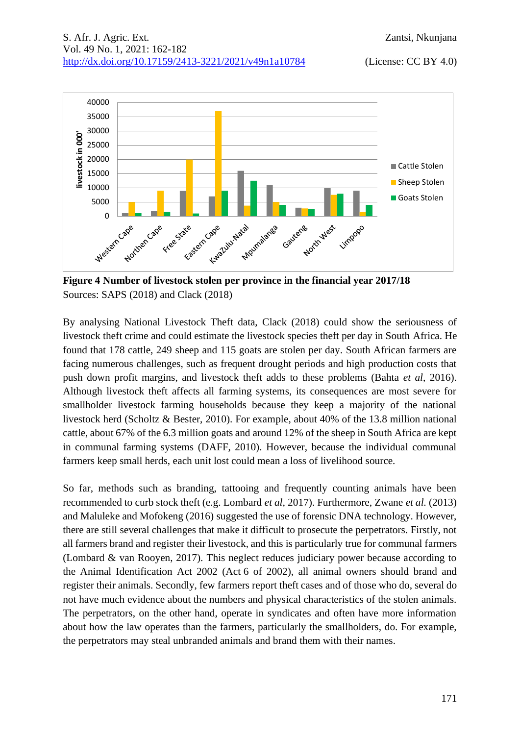

Sources: SAPS (2018) and Clack (2018)

By analysing National Livestock Theft data, Clack (2018) could show the seriousness of livestock theft crime and could estimate the livestock species theft per day in South Africa. He found that 178 cattle, 249 sheep and 115 goats are stolen per day. South African farmers are facing numerous challenges, such as frequent drought periods and high production costs that push down profit margins, and livestock theft adds to these problems (Bahta *et al*, 2016). Although livestock theft affects all farming systems, its consequences are most severe for smallholder livestock farming households because they keep a majority of the national livestock herd (Scholtz & Bester, 2010). For example, about 40% of the 13.8 million national cattle, about 67% of the 6.3 million goats and around 12% of the sheep in South Africa are kept in communal farming systems (DAFF, 2010). However, because the individual communal farmers keep small herds, each unit lost could mean a loss of livelihood source.

So far, methods such as branding, tattooing and frequently counting animals have been recommended to curb stock theft (e.g. Lombard *et al*, 2017). Furthermore, Zwane *et al.* (2013) and Maluleke and Mofokeng (2016) suggested the use of forensic DNA technology. However, there are still several challenges that make it difficult to prosecute the perpetrators. Firstly, not all farmers brand and register their livestock, and this is particularly true for communal farmers (Lombard & van Rooyen, 2017). This neglect reduces judiciary power because according to the Animal Identification Act 2002 (Act 6 of 2002), all animal owners should brand and register their animals. Secondly, few farmers report theft cases and of those who do, several do not have much evidence about the numbers and physical characteristics of the stolen animals. The perpetrators, on the other hand, operate in syndicates and often have more information about how the law operates than the farmers, particularly the smallholders, do. For example, the perpetrators may steal unbranded animals and brand them with their names.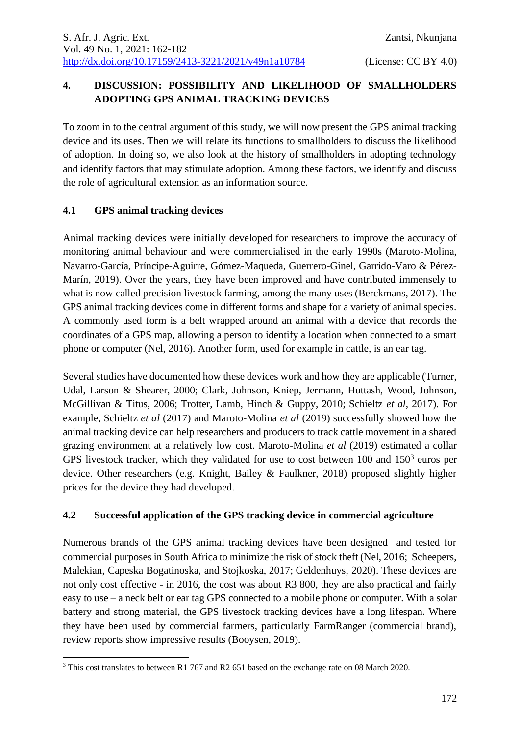# **4. DISCUSSION: POSSIBILITY AND LIKELIHOOD OF SMALLHOLDERS ADOPTING GPS ANIMAL TRACKING DEVICES**

To zoom in to the central argument of this study, we will now present the GPS animal tracking device and its uses. Then we will relate its functions to smallholders to discuss the likelihood of adoption. In doing so, we also look at the history of smallholders in adopting technology and identify factors that may stimulate adoption. Among these factors, we identify and discuss the role of agricultural extension as an information source.

## **4.1 GPS animal tracking devices**

Animal tracking devices were initially developed for researchers to improve the accuracy of monitoring animal behaviour and were commercialised in the early 1990s (Maroto-Molina, Navarro-García, Príncipe-Aguirre, Gómez-Maqueda, Guerrero-Ginel, Garrido-Varo & Pérez-Marín, 2019). Over the years, they have been improved and have contributed immensely to what is now called precision livestock farming, among the many uses (Berckmans, 2017). The GPS animal tracking devices come in different forms and shape for a variety of animal species. A commonly used form is a belt wrapped around an animal with a device that records the coordinates of a GPS map, allowing a person to identify a location when connected to a smart phone or computer (Nel, 2016). Another form, used for example in cattle, is an ear tag.

Several studies have documented how these devices work and how they are applicable (Turner, Udal, Larson & Shearer, 2000; Clark, Johnson, Kniep, Jermann, Huttash, Wood, Johnson, McGillivan & Titus, 2006; Trotter, Lamb, Hinch & Guppy, 2010; Schieltz *et al*, 2017). For example, Schieltz *et al* (2017) and Maroto-Molina *et al* (2019) successfully showed how the animal tracking device can help researchers and producers to track cattle movement in a shared grazing environment at a relatively low cost. Maroto-Molina *et al* (2019) estimated a collar GPS livestock tracker, which they validated for use to cost between  $100$  and  $150<sup>3</sup>$  euros per device. Other researchers (e.g. Knight, Bailey & Faulkner, 2018) proposed slightly higher prices for the device they had developed.

## **4.2 Successful application of the GPS tracking device in commercial agriculture**

Numerous brands of the GPS animal tracking devices have been designed and tested for commercial purposes in South Africa to minimize the risk of stock theft (Nel, 2016; Scheepers, Malekian, Capeska Bogatinoska, and Stojkoska, 2017; Geldenhuys, 2020). These devices are not only cost effective - in 2016, the cost was about R3 800, they are also practical and fairly easy to use – a neck belt or ear tag GPS connected to a mobile phone or computer. With a solar battery and strong material, the GPS livestock tracking devices have a long lifespan. Where they have been used by commercial farmers, particularly FarmRanger (commercial brand), review reports show impressive results (Booysen, 2019).

<sup>&</sup>lt;sup>3</sup> This cost translates to between R1 767 and R2 651 based on the exchange rate on 08 March 2020.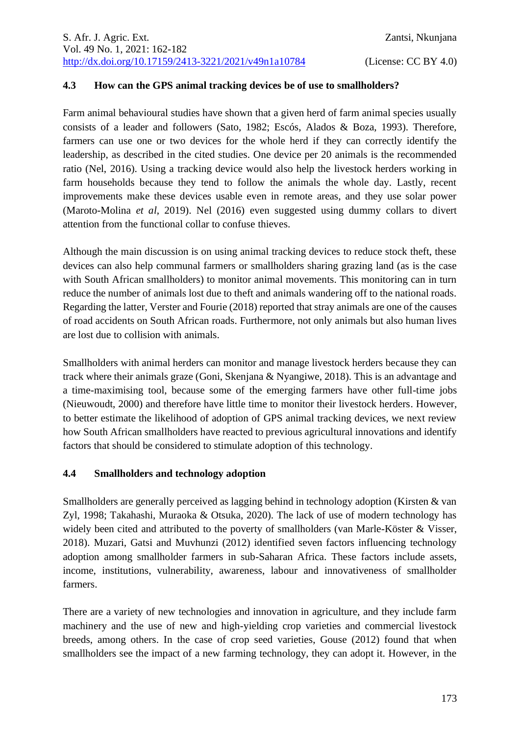#### **4.3 How can the GPS animal tracking devices be of use to smallholders?**

Farm animal behavioural studies have shown that a given herd of farm animal species usually consists of a leader and followers (Sato, 1982; Escós, Alados & Boza, 1993). Therefore, farmers can use one or two devices for the whole herd if they can correctly identify the leadership, as described in the cited studies. One device per 20 animals is the recommended ratio (Nel, 2016). Using a tracking device would also help the livestock herders working in farm households because they tend to follow the animals the whole day. Lastly, recent improvements make these devices usable even in remote areas, and they use solar power (Maroto-Molina *et al*, 2019). Nel (2016) even suggested using dummy collars to divert attention from the functional collar to confuse thieves.

Although the main discussion is on using animal tracking devices to reduce stock theft, these devices can also help communal farmers or smallholders sharing grazing land (as is the case with South African smallholders) to monitor animal movements. This monitoring can in turn reduce the number of animals lost due to theft and animals wandering off to the national roads. Regarding the latter, Verster and Fourie (2018) reported that stray animals are one of the causes of road accidents on South African roads. Furthermore, not only animals but also human lives are lost due to collision with animals.

Smallholders with animal herders can monitor and manage livestock herders because they can track where their animals graze (Goni, Skenjana & Nyangiwe, 2018). This is an advantage and a time-maximising tool, because some of the emerging farmers have other full-time jobs (Nieuwoudt, 2000) and therefore have little time to monitor their livestock herders. However, to better estimate the likelihood of adoption of GPS animal tracking devices, we next review how South African smallholders have reacted to previous agricultural innovations and identify factors that should be considered to stimulate adoption of this technology.

#### **4.4 Smallholders and technology adoption**

Smallholders are generally perceived as lagging behind in technology adoption (Kirsten & van Zyl, 1998; Takahashi, Muraoka & Otsuka, 2020). The lack of use of modern technology has widely been cited and attributed to the poverty of smallholders (van Marle-Köster & Visser, 2018). Muzari, Gatsi and Muvhunzi (2012) identified seven factors influencing technology adoption among smallholder farmers in sub-Saharan Africa. These factors include assets, income, institutions, vulnerability, awareness, labour and innovativeness of smallholder farmers.

There are a variety of new technologies and innovation in agriculture, and they include farm machinery and the use of new and high-yielding crop varieties and commercial livestock breeds, among others. In the case of crop seed varieties, Gouse (2012) found that when smallholders see the impact of a new farming technology, they can adopt it. However, in the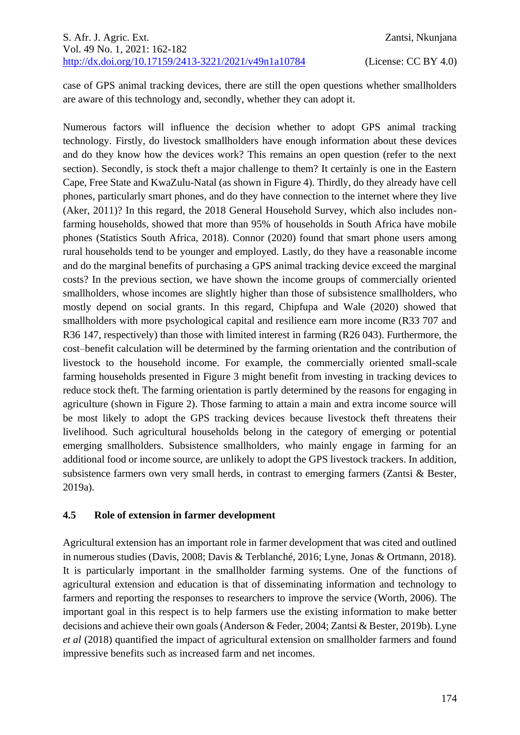case of GPS animal tracking devices, there are still the open questions whether smallholders are aware of this technology and, secondly, whether they can adopt it.

Numerous factors will influence the decision whether to adopt GPS animal tracking technology. Firstly, do livestock smallholders have enough information about these devices and do they know how the devices work? This remains an open question (refer to the next section). Secondly, is stock theft a major challenge to them? It certainly is one in the Eastern Cape, Free State and KwaZulu-Natal (as shown in Figure 4). Thirdly, do they already have cell phones, particularly smart phones, and do they have connection to the internet where they live (Aker, 2011)? In this regard, the 2018 General Household Survey, which also includes nonfarming households, showed that more than 95% of households in South Africa have mobile phones (Statistics South Africa, 2018). Connor (2020) found that smart phone users among rural households tend to be younger and employed. Lastly, do they have a reasonable income and do the marginal benefits of purchasing a GPS animal tracking device exceed the marginal costs? In the previous section, we have shown the income groups of commercially oriented smallholders, whose incomes are slightly higher than those of subsistence smallholders, who mostly depend on social grants. In this regard, Chipfupa and Wale (2020) showed that smallholders with more psychological capital and resilience earn more income (R33 707 and R36 147, respectively) than those with limited interest in farming (R26 043). Furthermore, the cost–benefit calculation will be determined by the farming orientation and the contribution of livestock to the household income. For example, the commercially oriented small-scale farming households presented in Figure 3 might benefit from investing in tracking devices to reduce stock theft. The farming orientation is partly determined by the reasons for engaging in agriculture (shown in Figure 2). Those farming to attain a main and extra income source will be most likely to adopt the GPS tracking devices because livestock theft threatens their livelihood. Such agricultural households belong in the category of emerging or potential emerging smallholders. Subsistence smallholders, who mainly engage in farming for an additional food or income source, are unlikely to adopt the GPS livestock trackers. In addition, subsistence farmers own very small herds, in contrast to emerging farmers (Zantsi & Bester, 2019a).

#### **4.5 Role of extension in farmer development**

Agricultural extension has an important role in farmer development that was cited and outlined in numerous studies (Davis, 2008; Davis & Terblanché, 2016; Lyne, Jonas & Ortmann, 2018). It is particularly important in the smallholder farming systems. One of the functions of agricultural extension and education is that of disseminating information and technology to farmers and reporting the responses to researchers to improve the service (Worth, 2006). The important goal in this respect is to help farmers use the existing information to make better decisions and achieve their own goals (Anderson & Feder, 2004; Zantsi & Bester, 2019b). Lyne *et al* (2018) quantified the impact of agricultural extension on smallholder farmers and found impressive benefits such as increased farm and net incomes.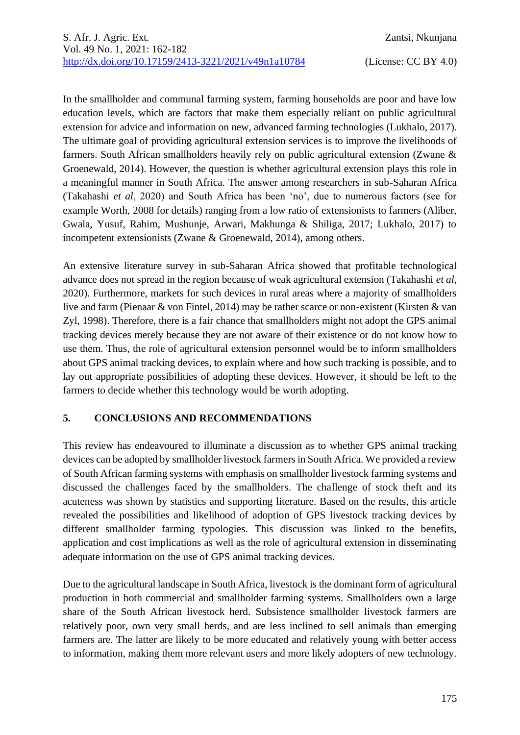In the smallholder and communal farming system, farming households are poor and have low education levels, which are factors that make them especially reliant on public agricultural extension for advice and information on new, advanced farming technologies (Lukhalo, 2017). The ultimate goal of providing agricultural extension services is to improve the livelihoods of farmers. South African smallholders heavily rely on public agricultural extension (Zwane & Groenewald, 2014). However, the question is whether agricultural extension plays this role in a meaningful manner in South Africa. The answer among researchers in sub-Saharan Africa (Takahashi *et al*, 2020) and South Africa has been 'no', due to numerous factors (see for example Worth, 2008 for details) ranging from a low ratio of extensionists to farmers (Aliber, Gwala, Yusuf, Rahim, Mushunje, Arwari, Makhunga & Shiliga, 2017; Lukhalo, 2017) to incompetent extensionists (Zwane & Groenewald, 2014), among others.

An extensive literature survey in sub-Saharan Africa showed that profitable technological advance does not spread in the region because of weak agricultural extension (Takahashi *et al*, 2020). Furthermore, markets for such devices in rural areas where a majority of smallholders live and farm (Pienaar & von Fintel, 2014) may be rather scarce or non-existent (Kirsten & van Zyl, 1998). Therefore, there is a fair chance that smallholders might not adopt the GPS animal tracking devices merely because they are not aware of their existence or do not know how to use them. Thus, the role of agricultural extension personnel would be to inform smallholders about GPS animal tracking devices, to explain where and how such tracking is possible, and to lay out appropriate possibilities of adopting these devices. However, it should be left to the farmers to decide whether this technology would be worth adopting.

#### **5. CONCLUSIONS AND RECOMMENDATIONS**

This review has endeavoured to illuminate a discussion as to whether GPS animal tracking devices can be adopted by smallholder livestock farmers in South Africa. We provided a review of South African farming systems with emphasis on smallholder livestock farming systems and discussed the challenges faced by the smallholders. The challenge of stock theft and its acuteness was shown by statistics and supporting literature. Based on the results, this article revealed the possibilities and likelihood of adoption of GPS livestock tracking devices by different smallholder farming typologies. This discussion was linked to the benefits, application and cost implications as well as the role of agricultural extension in disseminating adequate information on the use of GPS animal tracking devices.

Due to the agricultural landscape in South Africa, livestock is the dominant form of agricultural production in both commercial and smallholder farming systems. Smallholders own a large share of the South African livestock herd. Subsistence smallholder livestock farmers are relatively poor, own very small herds, and are less inclined to sell animals than emerging farmers are. The latter are likely to be more educated and relatively young with better access to information, making them more relevant users and more likely adopters of new technology.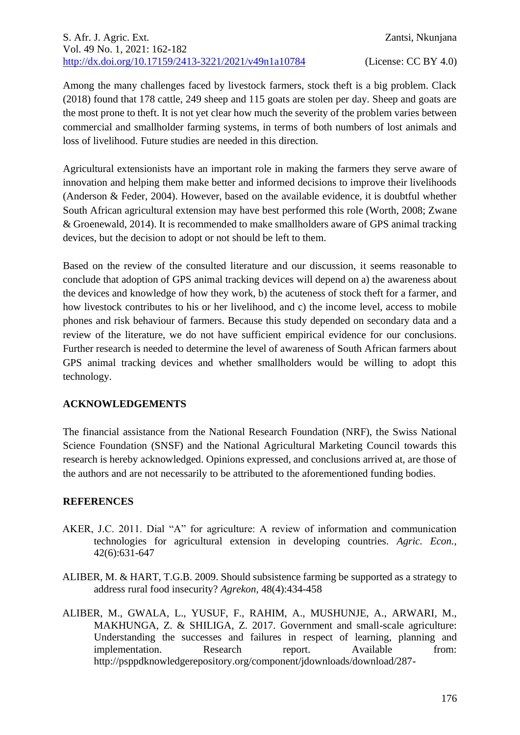Among the many challenges faced by livestock farmers, stock theft is a big problem. Clack (2018) found that 178 cattle, 249 sheep and 115 goats are stolen per day. Sheep and goats are the most prone to theft. It is not yet clear how much the severity of the problem varies between commercial and smallholder farming systems, in terms of both numbers of lost animals and loss of livelihood. Future studies are needed in this direction.

Agricultural extensionists have an important role in making the farmers they serve aware of innovation and helping them make better and informed decisions to improve their livelihoods (Anderson & Feder, 2004). However, based on the available evidence, it is doubtful whether South African agricultural extension may have best performed this role (Worth, 2008; Zwane & Groenewald, 2014). It is recommended to make smallholders aware of GPS animal tracking devices, but the decision to adopt or not should be left to them.

Based on the review of the consulted literature and our discussion, it seems reasonable to conclude that adoption of GPS animal tracking devices will depend on a) the awareness about the devices and knowledge of how they work, b) the acuteness of stock theft for a farmer, and how livestock contributes to his or her livelihood, and c) the income level, access to mobile phones and risk behaviour of farmers. Because this study depended on secondary data and a review of the literature, we do not have sufficient empirical evidence for our conclusions. Further research is needed to determine the level of awareness of South African farmers about GPS animal tracking devices and whether smallholders would be willing to adopt this technology.

## **ACKNOWLEDGEMENTS**

The financial assistance from the National Research Foundation (NRF), the Swiss National Science Foundation (SNSF) and the National Agricultural Marketing Council towards this research is hereby acknowledged. Opinions expressed, and conclusions arrived at, are those of the authors and are not necessarily to be attributed to the aforementioned funding bodies.

## **REFERENCES**

- AKER, J.C. 2011. Dial "A" for agriculture: A review of information and communication technologies for agricultural extension in developing countries. *Agric. Econ.,* 42(6):631-647
- ALIBER, M. & HART, T.G.B. 2009. Should subsistence farming be supported as a strategy to address rural food insecurity? *Agrekon,* 48(4):434-458
- ALIBER, M., GWALA, L., YUSUF, F., RAHIM, A., MUSHUNJE, A., ARWARI, M., MAKHUNGA, Z. & SHILIGA, Z. 2017. Government and small-scale agriculture: Understanding the successes and failures in respect of learning, planning and implementation. Research report. Available from: http://psppdknowledgerepository.org/component/jdownloads/download/287-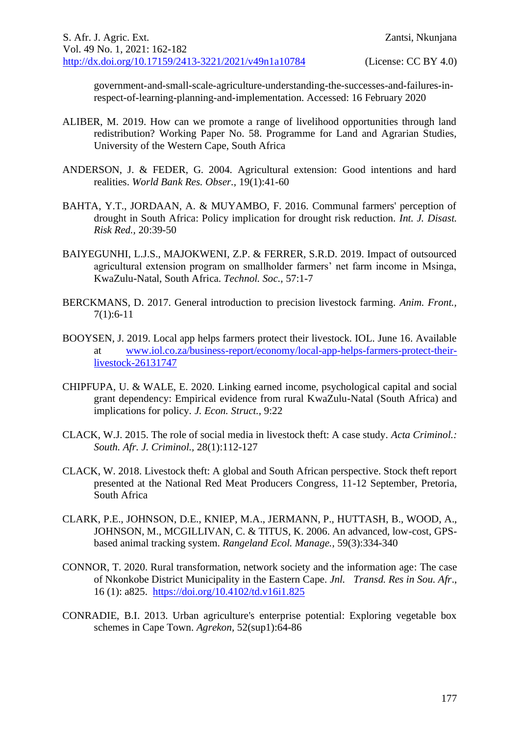government-and-small-scale-agriculture-understanding-the-successes-and-failures-inrespect-of-learning-planning-and-implementation. Accessed: 16 February 2020

- ALIBER, M. 2019. How can we promote a range of livelihood opportunities through land redistribution? Working Paper No. 58. Programme for Land and Agrarian Studies, University of the Western Cape, South Africa
- ANDERSON, J. & FEDER, G. 2004. Agricultural extension: Good intentions and hard realities. *World Bank Res. Obser.,* 19(1):41-60
- BAHTA, Y.T., JORDAAN, A. & MUYAMBO, F. 2016. Communal farmers' perception of drought in South Africa: Policy implication for drought risk reduction. *Int. J. Disast. Risk Red.,* 20:39-50
- BAIYEGUNHI, L.J.S., MAJOKWENI, Z.P. & FERRER, S.R.D. 2019. Impact of outsourced agricultural extension program on smallholder farmers' net farm income in Msinga, KwaZulu-Natal, South Africa. *Technol. Soc.,* 57:1-7
- BERCKMANS, D. 2017. General introduction to precision livestock farming. *Anim. Front.,* 7(1):6-11
- BOOYSEN, J. 2019. Local app helps farmers protect their livestock. IOL. June 16. Available at [www.iol.co.za/business-report/economy/local-app-helps-farmers-protect-their](http://www.iol.co.za/business-report/economy/local-app-helps-farmers-protect-their-livestock-26131747)[livestock-26131747](http://www.iol.co.za/business-report/economy/local-app-helps-farmers-protect-their-livestock-26131747)
- CHIPFUPA, U. & WALE, E. 2020. Linking earned income, psychological capital and social grant dependency: Empirical evidence from rural KwaZulu-Natal (South Africa) and implications for policy. *J. Econ. Struct.,* 9:22
- CLACK, W.J. 2015. The role of social media in livestock theft: A case study. *Acta Criminol.: South. Afr. J. Criminol.,* 28(1):112-127
- CLACK, W. 2018. Livestock theft: A global and South African perspective. Stock theft report presented at the National Red Meat Producers Congress, 11-12 September, Pretoria, South Africa
- CLARK, P.E., JOHNSON, D.E., KNIEP, M.A., JERMANN, P., HUTTASH, B., WOOD, A., JOHNSON, M., MCGILLIVAN, C. & TITUS, K. 2006. An advanced, low-cost, GPSbased animal tracking system. *Rangeland Ecol. Manage.,* 59(3):334-340
- CONNOR, T. 2020. Rural transformation, network society and the information age: The case of Nkonkobe District Municipality in the Eastern Cape. *Jnl. Transd. Res in Sou. Afr*., 16 (1): a825. <https://doi.org/10.4102/td.v16i1.825>
- CONRADIE, B.I. 2013. Urban agriculture's enterprise potential: Exploring vegetable box schemes in Cape Town. *Agrekon,* 52(sup1):64-86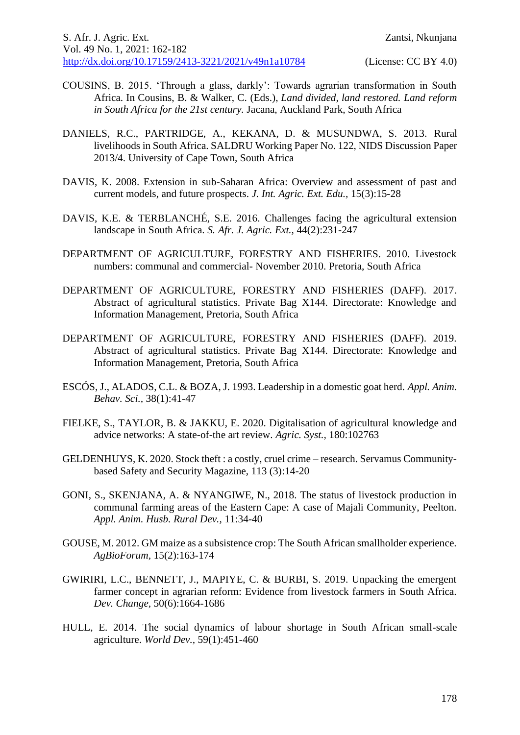- COUSINS, B. 2015. 'Through a glass, darkly': Towards agrarian transformation in South Africa. In Cousins, B. & Walker, C. (Eds.), *Land divided, land restored. Land reform in South Africa for the 21st century.* Jacana, Auckland Park, South Africa
- DANIELS, R.C., PARTRIDGE, A., KEKANA, D. & MUSUNDWA, S. 2013. Rural livelihoods in South Africa. SALDRU Working Paper No. 122, NIDS Discussion Paper 2013/4. University of Cape Town, South Africa
- DAVIS, K. 2008. Extension in sub-Saharan Africa: Overview and assessment of past and current models, and future prospects. *J. Int. Agric. Ext. Edu.,* 15(3):15-28
- DAVIS, K.E. & TERBLANCHÉ, S.E. 2016. Challenges facing the agricultural extension landscape in South Africa. *S. Afr. J. Agric. Ext.,* 44(2):231-247
- DEPARTMENT OF AGRICULTURE, FORESTRY AND FISHERIES. 2010. Livestock numbers: communal and commercial- November 2010. Pretoria, South Africa
- DEPARTMENT OF AGRICULTURE, FORESTRY AND FISHERIES (DAFF). 2017. Abstract of agricultural statistics. Private Bag X144. Directorate: Knowledge and Information Management, Pretoria, South Africa
- DEPARTMENT OF AGRICULTURE, FORESTRY AND FISHERIES (DAFF). 2019. Abstract of agricultural statistics. Private Bag X144. Directorate: Knowledge and Information Management, Pretoria, South Africa
- ESCÓS, J., ALADOS, C.L. & BOZA, J. 1993. Leadership in a domestic goat herd. *Appl. Anim. Behav. Sci.,* 38(1):41-47
- FIELKE, S., TAYLOR, B. & JAKKU, E. 2020. Digitalisation of agricultural knowledge and advice networks: A state-of-the art review. *Agric. Syst.,* 180:102763
- GELDENHUYS, K. 2020. Stock theft : a costly, cruel crime research. Servamus Communitybased Safety and Security Magazine, 113 (3):14-20
- GONI, S., SKENJANA, A. & NYANGIWE, N., 2018. The status of livestock production in communal farming areas of the Eastern Cape: A case of Majali Community, Peelton. *Appl. Anim. Husb. Rural Dev.,* 11:34-40
- GOUSE, M. 2012. GM maize as a subsistence crop: The South African smallholder experience. *AgBioForum,* 15(2):163-174
- GWIRIRI, L.C., BENNETT, J., MAPIYE, C. & BURBI, S. 2019. Unpacking the emergent farmer concept in agrarian reform: Evidence from livestock farmers in South Africa. *Dev. Change,* 50(6):1664-1686
- HULL, E. 2014. The social dynamics of labour shortage in South African small-scale agriculture. *World Dev.,* 59(1):451-460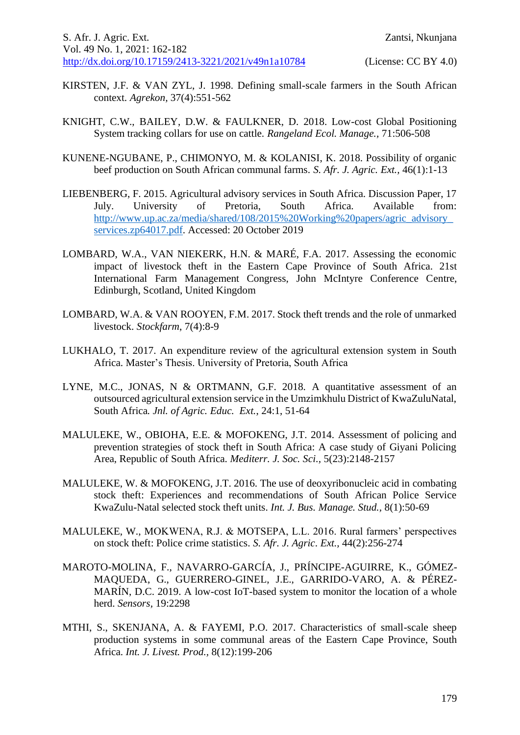- KIRSTEN, J.F. & VAN ZYL, J. 1998. Defining small-scale farmers in the South African context. *Agrekon,* 37(4):551-562
- KNIGHT, C.W., BAILEY, D.W. & FAULKNER, D. 2018. Low-cost Global Positioning System tracking collars for use on cattle. *Rangeland Ecol. Manage.,* 71:506-508
- KUNENE-NGUBANE, P., CHIMONYO, M. & KOLANISI, K. 2018. Possibility of organic beef production on South African communal farms. *S. Afr. J. Agric. Ext.,* 46(1):1-13
- LIEBENBERG, F. 2015. Agricultural advisory services in South Africa. Discussion Paper, 17 July. University of Pretoria, South Africa. Available from: [http://www.up.ac.za/media/shared/108/2015%20Working%20papers/agric\\_advisory\\_](http://www.up.ac.za/media/shared/108/2015%20Working%20papers/agric_advisory_services.zp64017.pdf) [services.zp64017.pdf.](http://www.up.ac.za/media/shared/108/2015%20Working%20papers/agric_advisory_services.zp64017.pdf) Accessed: 20 October 2019
- LOMBARD, W.A., VAN NIEKERK, H.N. & MARÉ, F.A. 2017. Assessing the economic impact of livestock theft in the Eastern Cape Province of South Africa. 21st International Farm Management Congress, John McIntyre Conference Centre, Edinburgh, Scotland, United Kingdom
- LOMBARD, W.A. & VAN ROOYEN, F.M. 2017. Stock theft trends and the role of unmarked livestock. *Stockfarm*, 7(4):8-9
- LUKHALO, T. 2017. An expenditure review of the agricultural extension system in South Africa. Master's Thesis. University of Pretoria, South Africa
- LYNE, M.C., JONAS, N & ORTMANN, G.F. 2018. A quantitative assessment of an outsourced agricultural extension service in the Umzimkhulu District of KwaZuluNatal, South Africa*. Jnl. of Agric. Educ. Ext.*, 24:1, 51-64
- MALULEKE, W., OBIOHA, E.E. & MOFOKENG, J.T. 2014. Assessment of policing and prevention strategies of stock theft in South Africa: A case study of Giyani Policing Area, Republic of South Africa. *Mediterr. J. Soc. Sci.,* 5(23):2148-2157
- MALULEKE, W. & MOFOKENG, J.T. 2016. The use of deoxyribonucleic acid in combating stock theft: Experiences and recommendations of South African Police Service KwaZulu-Natal selected stock theft units. *Int. J. Bus. Manage. Stud.,* 8(1):50-69
- MALULEKE, W., MOKWENA, R.J. & MOTSEPA, L.L. 2016. Rural farmers' perspectives on stock theft: Police crime statistics. *S. Afr. J. Agric. Ext.,* 44(2):256-274
- MAROTO-MOLINA, F., NAVARRO-GARCÍA, J., PRÍNCIPE-AGUIRRE, K., GÓMEZ-MAQUEDA, G., GUERRERO-GINEL, J.E., GARRIDO-VARO, A. & PÉREZ-MARÍN, D.C. 2019. A low-cost IoT-based system to monitor the location of a whole herd. *Sensors,* 19:2298
- MTHI, S., SKENJANA, A. & FAYEMI, P.O. 2017. Characteristics of small-scale sheep production systems in some communal areas of the Eastern Cape Province, South Africa. *Int. J. Livest. Prod.,* 8(12):199-206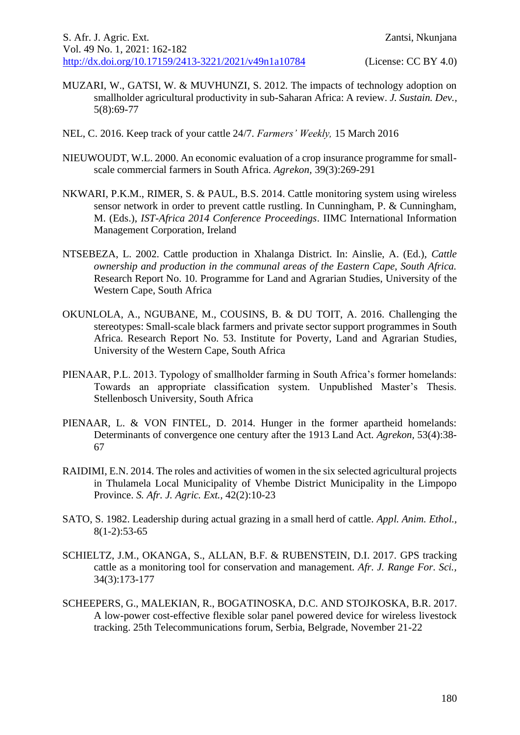- MUZARI, W., GATSI, W. & MUVHUNZI, S. 2012. The impacts of technology adoption on smallholder agricultural productivity in sub-Saharan Africa: A review. *J. Sustain. Dev.,*  5(8):69-77
- NEL, C. 2016. Keep track of your cattle 24/7. *Farmers' Weekly,* 15 March 2016
- NIEUWOUDT, W.L. 2000. An economic evaluation of a crop insurance programme for smallscale commercial farmers in South Africa. *Agrekon,* 39(3):269-291
- NKWARI, P.K.M., RIMER, S. & PAUL, B.S. 2014. Cattle monitoring system using wireless sensor network in order to prevent cattle rustling. In Cunningham, P. & Cunningham, M. (Eds.), *IST-Africa 2014 Conference Proceedings*. IIMC International Information Management Corporation, Ireland
- NTSEBEZA, L. 2002. Cattle production in Xhalanga District. In: Ainslie, A. (Ed.), *Cattle ownership and production in the communal areas of the Eastern Cape, South Africa.* Research Report No. 10. Programme for Land and Agrarian Studies, University of the Western Cape, South Africa
- OKUNLOLA, A., NGUBANE, M., COUSINS, B. & DU TOIT, A. 2016. Challenging the stereotypes: Small-scale black farmers and private sector support programmes in South Africa. Research Report No. 53. Institute for Poverty, Land and Agrarian Studies, University of the Western Cape, South Africa
- PIENAAR, P.L. 2013. Typology of smallholder farming in South Africa's former homelands: Towards an appropriate classification system. Unpublished Master's Thesis. Stellenbosch University, South Africa
- PIENAAR, L. & VON FINTEL, D. 2014. Hunger in the former apartheid homelands: Determinants of convergence one century after the 1913 Land Act. *Agrekon,* 53(4):38- 67
- RAIDIMI, E.N. 2014. The roles and activities of women in the six selected agricultural projects in Thulamela Local Municipality of Vhembe District Municipality in the Limpopo Province. *S. Afr. J. Agric. Ext.,* 42(2):10-23
- SATO, S. 1982. Leadership during actual grazing in a small herd of cattle. *Appl. Anim. Ethol.,*  $8(1-2):53-65$
- SCHIELTZ, J.M., OKANGA, S., ALLAN, B.F. & RUBENSTEIN, D.I. 2017. GPS tracking cattle as a monitoring tool for conservation and management. *Afr. J. Range For. Sci.,* 34(3):173-177
- SCHEEPERS, G., MALEKIAN, R., BOGATINOSKA, D.C. AND STOJKOSKA, B.R. 2017. A low-power cost-effective flexible solar panel powered device for wireless livestock tracking. 25th Telecommunications forum, Serbia, Belgrade, November 21-22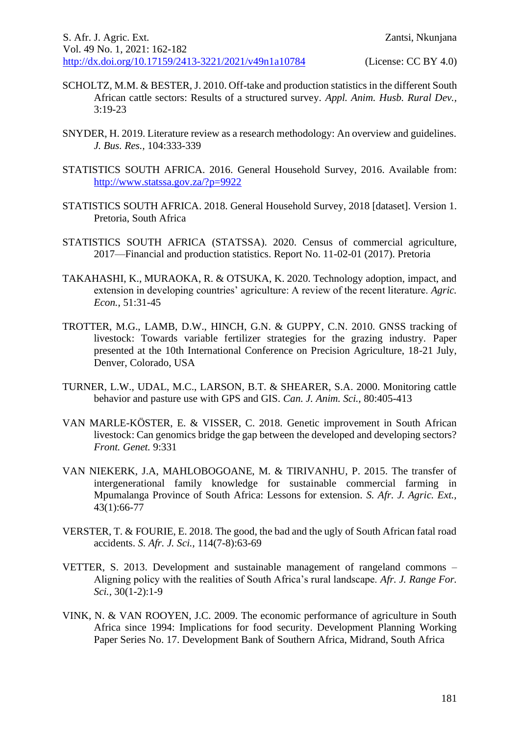- SCHOLTZ, M.M. & BESTER, J. 2010. Off-take and production statistics in the different South African cattle sectors: Results of a structured survey. *Appl. Anim. Husb. Rural Dev.,*  3:19-23
- SNYDER, H. 2019. Literature review as a research methodology: An overview and guidelines. *J. Bus. Res.,* 104:333-339
- STATISTICS SOUTH AFRICA. 2016. General Household Survey, 2016. Available from: <http://www.statssa.gov.za/?p=9922>
- STATISTICS SOUTH AFRICA. 2018. General Household Survey, 2018 [dataset]. Version 1. Pretoria, South Africa
- STATISTICS SOUTH AFRICA (STATSSA). 2020. Census of commercial agriculture, 2017—Financial and production statistics. Report No. 11-02-01 (2017). Pretoria
- TAKAHASHI, K., MURAOKA, R. & OTSUKA, K. 2020. Technology adoption, impact, and extension in developing countries' agriculture: A review of the recent literature. *Agric. Econ.*, 51:31-45
- TROTTER, M.G., LAMB, D.W., HINCH, G.N. & GUPPY, C.N. 2010. GNSS tracking of livestock: Towards variable fertilizer strategies for the grazing industry. Paper presented at the 10th International Conference on Precision Agriculture, 18-21 July, Denver, Colorado, USA
- TURNER, L.W., UDAL, M.C., LARSON, B.T. & SHEARER, S.A. 2000. Monitoring cattle behavior and pasture use with GPS and GIS. *Can. J. Anim. Sci.,* 80:405-413
- VAN MARLE-KÖSTER, E. & VISSER, C. 2018. Genetic improvement in South African livestock: Can genomics bridge the gap between the developed and developing sectors? *Front. Genet.* 9:331
- VAN NIEKERK, J.A, MAHLOBOGOANE, M. & TIRIVANHU, P. 2015. The transfer of intergenerational family knowledge for sustainable commercial farming in Mpumalanga Province of South Africa: Lessons for extension. *S. Afr. J. Agric. Ext.,* 43(1):66-77
- VERSTER, T. & FOURIE, E. 2018. The good, the bad and the ugly of South African fatal road accidents. *S. Afr. J. Sci.,* 114(7-8):63-69
- VETTER, S. 2013. Development and sustainable management of rangeland commons Aligning policy with the realities of South Africa's rural landscape. *Afr. J. Range For. Sci.,* 30(1-2):1-9
- VINK, N. & VAN ROOYEN, J.C. 2009. The economic performance of agriculture in South Africa since 1994: Implications for food security. Development Planning Working Paper Series No. 17. Development Bank of Southern Africa, Midrand, South Africa